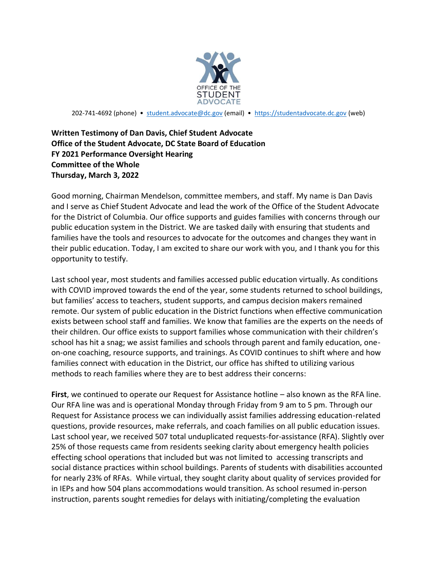

202-741-4692 (phone) • [student.advocate@dc.gov](mailto:student.advocate@dc.gov) (email) • [https://studentadvocate.dc.gov](https://studentadvocate.dc.gov/) (web)

## **Written Testimony of Dan Davis, Chief Student Advocate Office of the Student Advocate, DC State Board of Education FY 2021 Performance Oversight Hearing Committee of the Whole Thursday, March 3, 2022**

Good morning, Chairman Mendelson, committee members, and staff. My name is Dan Davis and I serve as Chief Student Advocate and lead the work of the Office of the Student Advocate for the District of Columbia. Our office supports and guides families with concerns through our public education system in the District. We are tasked daily with ensuring that students and families have the tools and resources to advocate for the outcomes and changes they want in their public education. Today, I am excited to share our work with you, and I thank you for this opportunity to testify.

Last school year, most students and families accessed public education virtually. As conditions with COVID improved towards the end of the year, some students returned to school buildings, but families' access to teachers, student supports, and campus decision makers remained remote. Our system of public education in the District functions when effective communication exists between school staff and families. We know that families are the experts on the needs of their children. Our office exists to support families whose communication with their children's school has hit a snag; we assist families and schools through parent and family education, oneon-one coaching, resource supports, and trainings. As COVID continues to shift where and how families connect with education in the District, our office has shifted to utilizing various methods to reach families where they are to best address their concerns:

**First**, we continued to operate our Request for Assistance hotline – also known as the RFA line. Our RFA line was and is operational Monday through Friday from 9 am to 5 pm. Through our Request for Assistance process we can individually assist families addressing education-related questions, provide resources, make referrals, and coach families on all public education issues. Last school year, we received 507 total unduplicated requests-for-assistance (RFA). Slightly over 25% of those requests came from residents seeking clarity about emergency health policies effecting school operations that included but was not limited to accessing transcripts and social distance practices within school buildings. Parents of students with disabilities accounted for nearly 23% of RFAs. While virtual, they sought clarity about quality of services provided for in IEPs and how 504 plans accommodations would transition. As school resumed in-person instruction, parents sought remedies for delays with initiating/completing the evaluation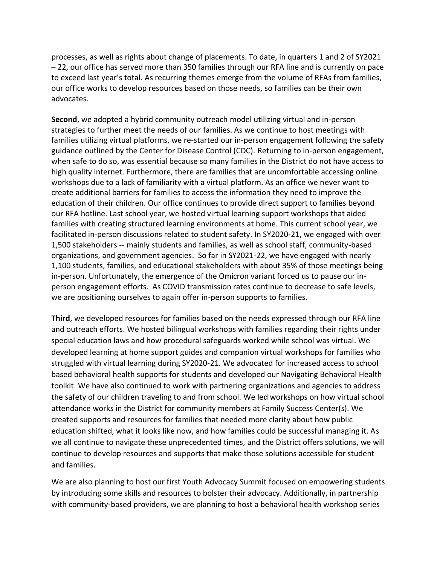processes, as well as rights about change of placements. To date, in quarters 1 and 2 of SY2021 – 22, our office has served more than 350 families through our RFA line and is currently on pace to exceed last year's total. As recurring themes emerge from the volume of RFAs from families, our office works to develop resources based on those needs, so families can be their own advocates.

**Second**, we adopted a hybrid community outreach model utilizing virtual and in-person strategies to further meet the needs of our families. As we continue to host meetings with families utilizing virtual platforms, we re-started our in-person engagement following the safety guidance outlined by the Center for Disease Control (CDC). Returning to in-person engagement, when safe to do so, was essential because so many families in the District do not have access to high quality internet. Furthermore, there are families that are uncomfortable accessing online workshops due to a lack of familiarity with a virtual platform. As an office we never want to create additional barriers for families to access the information they need to improve the education of their children. Our office continues to provide direct support to families beyond our RFA hotline. Last school year, we hosted virtual learning support workshops that aided families with creating structured learning environments at home. This current school year, we facilitated in-person discussions related to student safety. In SY2020-21, we engaged with over 1,500 stakeholders -- mainly students and families, as well as school staff, community-based organizations, and government agencies. So far in SY2021-22, we have engaged with nearly 1,100 students, families, and educational stakeholders with about 35% of those meetings being in-person. Unfortunately, the emergence of the Omicron variant forced us to pause our inperson engagement efforts. As COVID transmission rates continue to decrease to safe levels, we are positioning ourselves to again offer in-person supports to families.

**Third**, we developed resources for families based on the needs expressed through our RFA line and outreach efforts. We hosted bilingual workshops with families regarding their rights under special education laws and how procedural safeguards worked while school was virtual. We developed learning at home support guides and companion virtual workshops for families who struggled with virtual learning during SY2020-21. We advocated for increased access to school based behavioral health supports for students and developed our Navigating Behavioral Health toolkit. We have also continued to work with partnering organizations and agencies to address the safety of our children traveling to and from school. We led workshops on how virtual school attendance works in the District for community members at Family Success Center(s). We created supports and resources for families that needed more clarity about how public education shifted, what it looks like now, and how families could be successful managing it. As we all continue to navigate these unprecedented times, and the District offers solutions, we will continue to develop resources and supports that make those solutions accessible for student and families.

We are also planning to host our first Youth Advocacy Summit focused on empowering students by introducing some skills and resources to bolster their advocacy. Additionally, in partnership with community-based providers, we are planning to host a behavioral health workshop series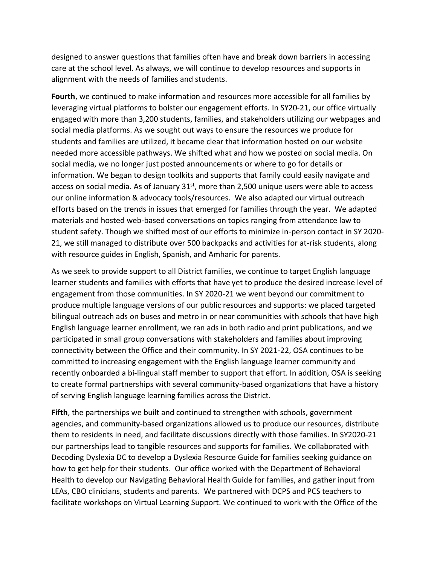designed to answer questions that families often have and break down barriers in accessing care at the school level. As always, we will continue to develop resources and supports in alignment with the needs of families and students.

**Fourth**, we continued to make information and resources more accessible for all families by leveraging virtual platforms to bolster our engagement efforts. In SY20-21, our office virtually engaged with more than 3,200 students, families, and stakeholders utilizing our webpages and social media platforms. As we sought out ways to ensure the resources we produce for students and families are utilized, it became clear that information hosted on our website needed more accessible pathways. We shifted what and how we posted on social media. On social media, we no longer just posted announcements or where to go for details or information. We began to design toolkits and supports that family could easily navigate and access on social media. As of January  $31<sup>st</sup>$ , more than 2,500 unique users were able to access our online information & advocacy tools/resources. We also adapted our virtual outreach efforts based on the trends in issues that emerged for families through the year. We adapted materials and hosted web-based conversations on topics ranging from attendance law to student safety. Though we shifted most of our efforts to minimize in-person contact in SY 2020- 21, we still managed to distribute over 500 backpacks and activities for at-risk students, along with resource guides in English, Spanish, and Amharic for parents.

As we seek to provide support to all District families, we continue to target English language learner students and families with efforts that have yet to produce the desired increase level of engagement from those communities. In SY 2020-21 we went beyond our commitment to produce multiple language versions of our public resources and supports: we placed targeted bilingual outreach ads on buses and metro in or near communities with schools that have high English language learner enrollment, we ran ads in both radio and print publications, and we participated in small group conversations with stakeholders and families about improving connectivity between the Office and their community. In SY 2021-22, OSA continues to be committed to increasing engagement with the English language learner community and recently onboarded a bi-lingual staff member to support that effort. In addition, OSA is seeking to create formal partnerships with several community-based organizations that have a history of serving English language learning families across the District.

**Fifth**, the partnerships we built and continued to strengthen with schools, government agencies, and community-based organizations allowed us to produce our resources, distribute them to residents in need, and facilitate discussions directly with those families. In SY2020-21 our partnerships lead to tangible resources and supports for families. We collaborated with Decoding Dyslexia DC to develop a Dyslexia Resource Guide for families seeking guidance on how to get help for their students. Our office worked with the Department of Behavioral Health to develop our Navigating Behavioral Health Guide for families, and gather input from LEAs, CBO clinicians, students and parents. We partnered with DCPS and PCS teachers to facilitate workshops on Virtual Learning Support. We continued to work with the Office of the